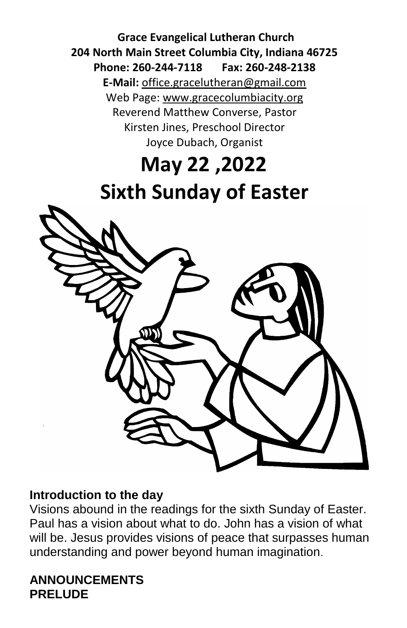**Grace Evangelical Lutheran Church 204 North Main Street Columbia City, Indiana 46725 Phone: 260-244-7118 Fax: 260-248-2138 E-Mail:** office.gracelutheran@gmail.com Web Page: [www.gracecolumbiacity.org](http://www.gracecolumbiacity.org/) Reverend Matthew Converse, Pastor Kirsten Jines, Preschool Director Joyce Dubach, Organist

# **May 22 ,2022 Sixth Sunday of Easter**



#### **Introduction to the day**

Visions abound in the readings for the sixth Sunday of Easter. Paul has a vision about what to do. John has a vision of what will be. Jesus provides visions of peace that surpasses human understanding and power beyond human imagination.

#### **ANNOUNCEMENTS PRELUDE**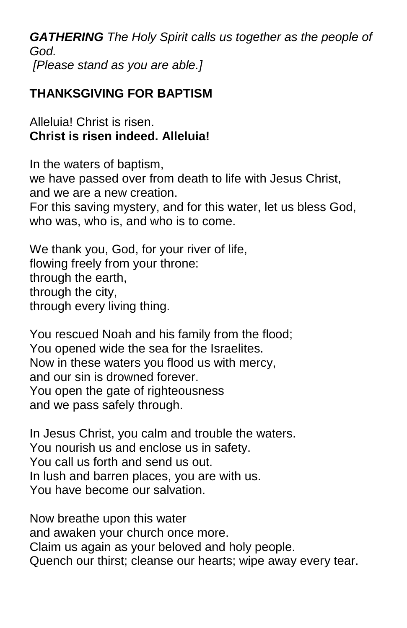*GATHERING The Holy Spirit calls us together as the people of God. [Please stand as you are able.]*

# **THANKSGIVING FOR BAPTISM**

Alleluia! Christ is risen. **Christ is risen indeed. Alleluia!**

In the waters of baptism, we have passed over from death to life with Jesus Christ, and we are a new creation. For this saving mystery, and for this water, let us bless God, who was, who is, and who is to come.

We thank you, God, for your river of life, flowing freely from your throne: through the earth, through the city, through every living thing.

You rescued Noah and his family from the flood; You opened wide the sea for the Israelites. Now in these waters you flood us with mercy, and our sin is drowned forever. You open the gate of righteousness and we pass safely through.

In Jesus Christ, you calm and trouble the waters. You nourish us and enclose us in safety. You call us forth and send us out. In lush and barren places, you are with us. You have become our salvation.

Now breathe upon this water and awaken your church once more. Claim us again as your beloved and holy people. Quench our thirst; cleanse our hearts; wipe away every tear.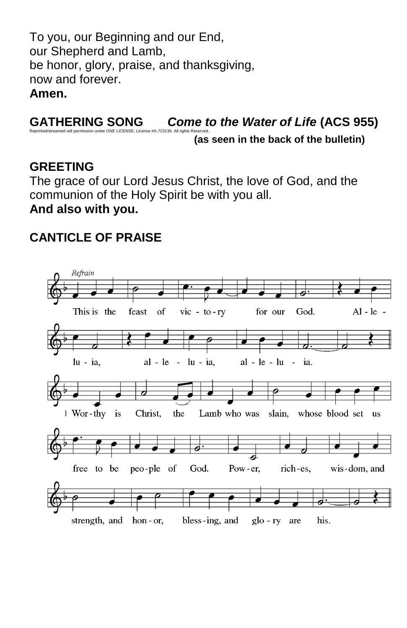To you, our Beginning and our End, our Shepherd and Lamb, be honor, glory, praise, and thanksgiving, now and forever. **Amen.**

#### **GATHERING SONG** *Come to the Water of Life* **(ACS 955)** Reprinted/streamed will permission under ONE LICENSE, License #A-723136. All rights Reserved.

**(as seen in the back of the bulletin)**

#### **GREETING**

The grace of our Lord Jesus Christ, the love of God, and the communion of the Holy Spirit be with you all. **And also with you.**

#### **CANTICLE OF PRAISE**

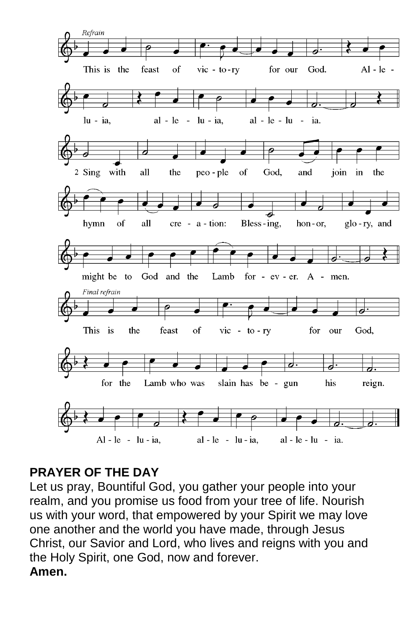

# **PRAYER OF THE DAY**

Let us pray, Bountiful God, you gather your people into your realm, and you promise us food from your tree of life. Nourish us with your word, that empowered by your Spirit we may love one another and the world you have made, through Jesus Christ, our Savior and Lord, who lives and reigns with you and the Holy Spirit, one God, now and forever. **Amen.**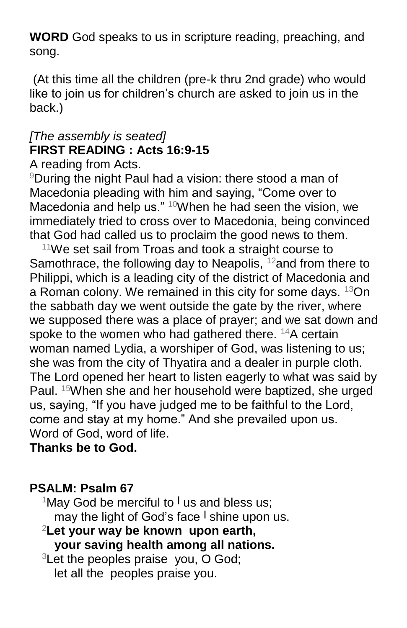**WORD** God speaks to us in scripture reading, preaching, and song.

(At this time all the children (pre-k thru 2nd grade) who would like to join us for children's church are asked to join us in the back.)

# *[The assembly is seated]* **FIRST READING : Acts 16:9-15**

A reading from Acts.

<sup>9</sup>During the night Paul had a vision: there stood a man of Macedonia pleading with him and saying, "Come over to Macedonia and help us."  $10$ When he had seen the vision, we immediately tried to cross over to Macedonia, being convinced that God had called us to proclaim the good news to them.

 $11$ We set sail from Troas and took a straight course to Samothrace, the following day to Neapolis,  $12$  and from there to Philippi, which is a leading city of the district of Macedonia and a Roman colony. We remained in this city for some days. <sup>13</sup>On the sabbath day we went outside the gate by the river, where we supposed there was a place of prayer; and we sat down and spoke to the women who had gathered there. <sup>14</sup>A certain woman named Lydia, a worshiper of God, was listening to us; she was from the city of Thyatira and a dealer in purple cloth. The Lord opened her heart to listen eagerly to what was said by Paul. <sup>15</sup>When she and her household were baptized, she urged us, saying, "If you have judged me to be faithful to the Lord, come and stay at my home." And she prevailed upon us. Word of God, word of life.

**Thanks be to God.**

#### **PSALM: Psalm 67**

<sup>1</sup>May God be merciful to **<sup>|</sup>** us and bless us; may the light of God's face **<sup>|</sup>** shine upon us.

- <sup>2</sup>**Let your way be known upon earth, your saving health among all nations.**
- $3$ Let the peoples praise you, O God; let all the peoples praise you.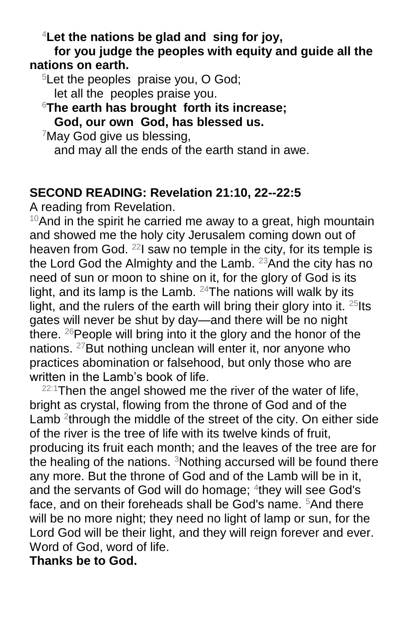<sup>4</sup>**Let the nations be glad and sing for joy,**

**for you judge the peoples with equity and guide all the nations on earth.**

<sup>5</sup>Let the peoples praise you, O God; let all the peoples praise you.

<sup>6</sup>**The earth has brought forth its increase; God, our own God, has blessed us.**

 $7$ May God give us blessing,

and may all the ends of the earth stand in awe.

#### **SECOND READING: Revelation 21:10, 22--22:5**

A reading from Revelation.

 $10$ And in the spirit he carried me away to a great, high mountain and showed me the holy city Jerusalem coming down out of heaven from God. <sup>22</sup>I saw no temple in the city, for its temple is the Lord God the Almighty and the Lamb. <sup>23</sup> And the city has no need of sun or moon to shine on it, for the glory of God is its light, and its lamp is the Lamb.  $24$ The nations will walk by its light, and the rulers of the earth will bring their glory into it.  $25$  Its gates will never be shut by day—and there will be no night there.  $^{26}$ People will bring into it the glory and the honor of the nations. <sup>27</sup>But nothing unclean will enter it, nor anyone who practices abomination or falsehood, but only those who are written in the Lamb's book of life.

 $22:1$ Then the angel showed me the river of the water of life, bright as crystal, flowing from the throne of God and of the Lamb  $2$ <sup>through</sup> the middle of the street of the city. On either side of the river is the tree of life with its twelve kinds of fruit, producing its fruit each month; and the leaves of the tree are for the healing of the nations. <sup>3</sup>Nothing accursed will be found there any more. But the throne of God and of the Lamb will be in it, and the servants of God will do homage; <sup>4</sup>they will see God's face, and on their foreheads shall be God's name. <sup>5</sup>And there will be no more night; they need no light of lamp or sun, for the Lord God will be their light, and they will reign forever and ever. Word of God, word of life.

**Thanks be to God.**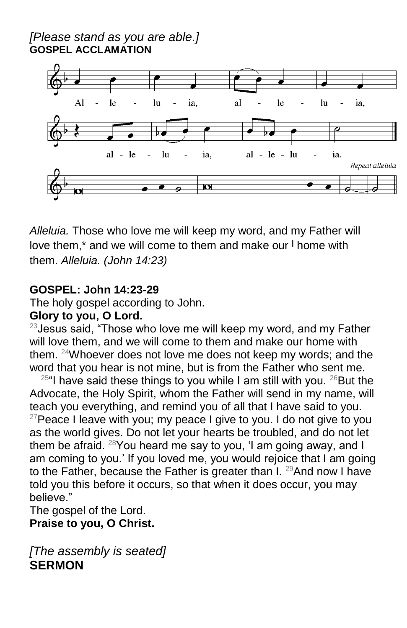*[Please stand as you are able.]* **GOSPEL ACCLAMATION**



*Alleluia.* Those who love me will keep my word, and my Father will love them,\* and we will come to them and make our **<sup>|</sup>** home with them. *Alleluia. (John 14:23)*

#### **GOSPEL: John 14:23-29**

The holy gospel according to John.

#### **Glory to you, O Lord.**

 $23$  Jesus said, "Those who love me will keep my word, and my Father will love them, and we will come to them and make our home with them. <sup>24</sup>Whoever does not love me does not keep my words; and the word that you hear is not mine, but is from the Father who sent me.

 $25$ "I have said these things to you while I am still with you.  $26$  But the Advocate, the Holy Spirit, whom the Father will send in my name, will teach you everything, and remind you of all that I have said to you.  $27$ Peace I leave with you; my peace I give to you. I do not give to you as the world gives. Do not let your hearts be troubled, and do not let them be afraid. <sup>28</sup>You heard me say to you, 'I am going away, and I am coming to you.' If you loved me, you would rejoice that I am going to the Father, because the Father is greater than  $I.$  <sup>29</sup>And now I have told you this before it occurs, so that when it does occur, you may believe."

The gospel of the Lord. **Praise to you, O Christ.**

*[The assembly is seated]* **SERMON**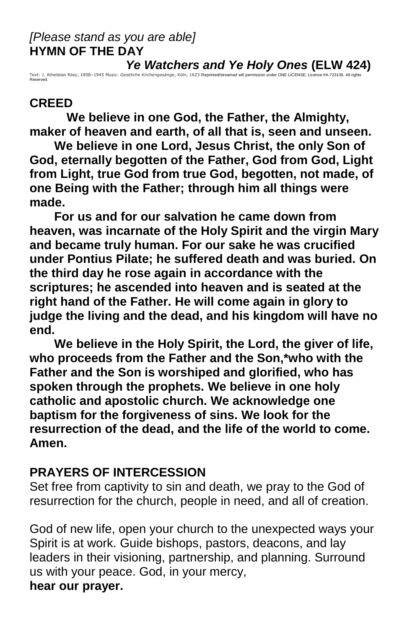#### *[Please stand as you are able]* **HYMN OF THE DAY**

Text: J. Athelstan Riley, 1858–1945 Music: Geistliche Kirchengesänge, Köln, 1623 Reprinted\streamed will permission under ONE LICENSE, License #A-723136. All rights<br>Reserved.

#### **CREED**

**We believe in one God, the Father, the Almighty, maker of heaven and earth, of all that is, seen and unseen.**

**We believe in one Lord, Jesus Christ, the only Son of God, eternally begotten of the Father, God from God, Light from Light, true God from true God, begotten, not made, of one Being with the Father; through him all things were made.**

**For us and for our salvation he came down from heaven, was incarnate of the Holy Spirit and the virgin Mary and became truly human. For our sake he was crucified under Pontius Pilate; he suffered death and was buried. On the third day he rose again in accordance with the scriptures; he ascended into heaven and is seated at the right hand of the Father. He will come again in glory to judge the living and the dead, and his kingdom will have no end.**

**We believe in the Holy Spirit, the Lord, the giver of life, who proceeds from the Father and the Son,\*who with the Father and the Son is worshiped and glorified, who has spoken through the prophets. We believe in one holy catholic and apostolic church. We acknowledge one baptism for the forgiveness of sins. We look for the resurrection of the dead, and the life of the world to come. Amen.**

#### **PRAYERS OF INTERCESSION**

Set free from captivity to sin and death, we pray to the God of resurrection for the church, people in need, and all of creation.

God of new life, open your church to the unexpected ways your Spirit is at work. Guide bishops, pastors, deacons, and lay leaders in their visioning, partnership, and planning. Surround us with your peace. God, in your mercy, **hear our prayer.**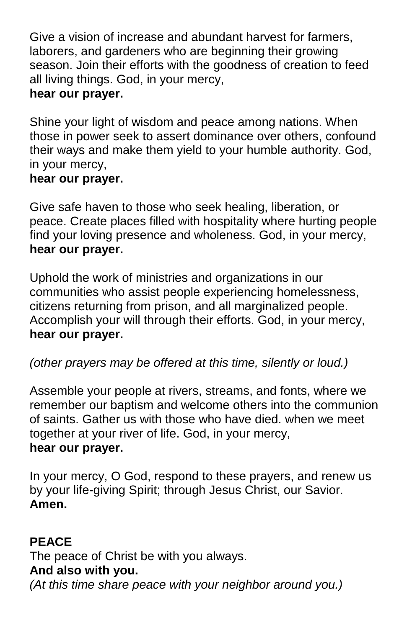Give a vision of increase and abundant harvest for farmers, laborers, and gardeners who are beginning their growing season. Join their efforts with the goodness of creation to feed all living things. God, in your mercy, **hear our prayer.**

Shine your light of wisdom and peace among nations. When those in power seek to assert dominance over others, confound their ways and make them yield to your humble authority. God, in your mercy,

#### **hear our prayer.**

Give safe haven to those who seek healing, liberation, or peace. Create places filled with hospitality where hurting people find your loving presence and wholeness. God, in your mercy, **hear our prayer.**

Uphold the work of ministries and organizations in our communities who assist people experiencing homelessness, citizens returning from prison, and all marginalized people. Accomplish your will through their efforts. God, in your mercy, **hear our prayer.**

*(other prayers may be offered at this time, silently or loud.)*

Assemble your people at rivers, streams, and fonts, where we remember our baptism and welcome others into the communion of saints. Gather us with those who have died. when we meet together at your river of life. God, in your mercy, **hear our prayer.**

In your mercy, O God, respond to these prayers, and renew us by your life-giving Spirit; through Jesus Christ, our Savior. **Amen.**

# **PEACE**

The peace of Christ be with you always.

# **And also with you.**

*(At this time share peace with your neighbor around you.)*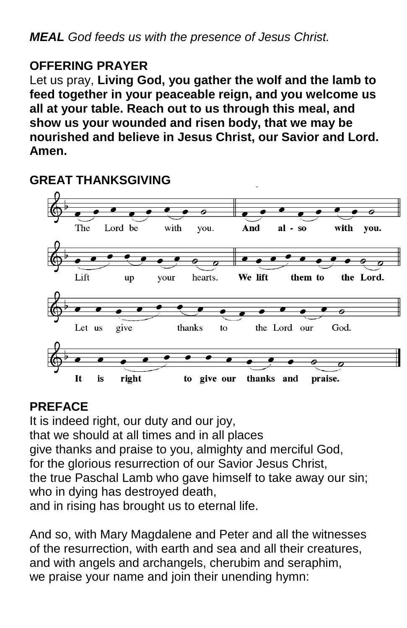# **OFFERING PRAYER**

Let us pray, **Living God, you gather the wolf and the lamb to feed together in your peaceable reign, and you welcome us all at your table. Reach out to us through this meal, and show us your wounded and risen body, that we may be nourished and believe in Jesus Christ, our Savior and Lord. Amen.**



# **GREAT THANKSGIVING**

#### **PREFACE**

It is indeed right, our duty and our joy, that we should at all times and in all places give thanks and praise to you, almighty and merciful God, for the glorious resurrection of our Savior Jesus Christ, the true Paschal Lamb who gave himself to take away our sin; who in dying has destroyed death, and in rising has brought us to eternal life.

And so, with Mary Magdalene and Peter and all the witnesses of the resurrection, with earth and sea and all their creatures, and with angels and archangels, cherubim and seraphim, we praise your name and join their unending hymn: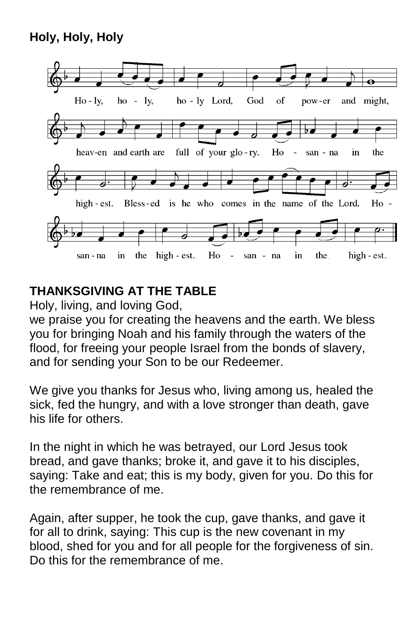# **Holy, Holy, Holy**



# **THANKSGIVING AT THE TABLE**

Holy, living, and loving God,

we praise you for creating the heavens and the earth. We bless you for bringing Noah and his family through the waters of the flood, for freeing your people Israel from the bonds of slavery, and for sending your Son to be our Redeemer.

We give you thanks for Jesus who, living among us, healed the sick, fed the hungry, and with a love stronger than death, gave his life for others.

In the night in which he was betrayed, our Lord Jesus took bread, and gave thanks; broke it, and gave it to his disciples, saying: Take and eat; this is my body, given for you. Do this for the remembrance of me.

Again, after supper, he took the cup, gave thanks, and gave it for all to drink, saying: This cup is the new covenant in my blood, shed for you and for all people for the forgiveness of sin. Do this for the remembrance of me.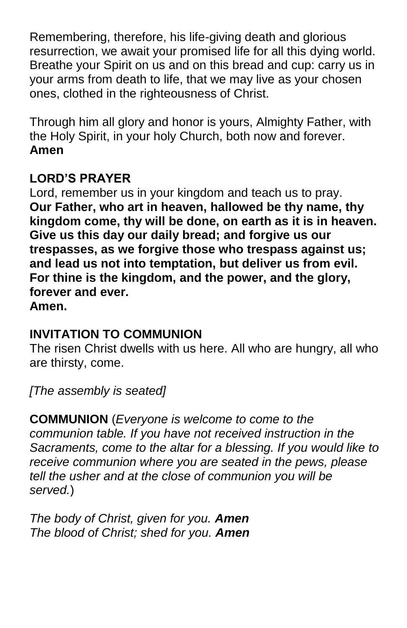Remembering, therefore, his life-giving death and glorious resurrection, we await your promised life for all this dying world. Breathe your Spirit on us and on this bread and cup: carry us in your arms from death to life, that we may live as your chosen ones, clothed in the righteousness of Christ.

Through him all glory and honor is yours, Almighty Father, with the Holy Spirit, in your holy Church, both now and forever. **Amen**

# **LORD'S PRAYER**

Lord, remember us in your kingdom and teach us to pray. **Our Father, who art in heaven, hallowed be thy name, thy kingdom come, thy will be done, on earth as it is in heaven. Give us this day our daily bread; and forgive us our trespasses, as we forgive those who trespass against us; and lead us not into temptation, but deliver us from evil. For thine is the kingdom, and the power, and the glory, forever and ever. Amen.**

# **INVITATION TO COMMUNION**

The risen Christ dwells with us here. All who are hungry, all who are thirsty, come.

*[The assembly is seated]* 

**COMMUNION** (*Everyone is welcome to come to the communion table. If you have not received instruction in the Sacraments, come to the altar for a blessing. If you would like to receive communion where you are seated in the pews, please tell the usher and at the close of communion you will be served.*)

*The body of Christ, given for you. Amen The blood of Christ; shed for you. Amen*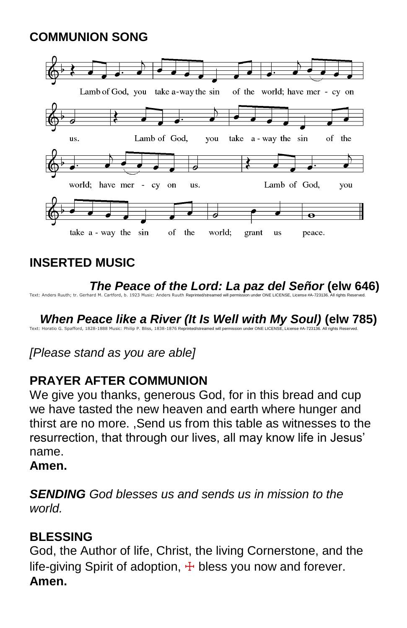# **COMMUNION SONG**



# **INSERTED MUSIC**

 *The Peace of the Lord: La paz del Señor* **(elw 646)** 

Text: Anders Ruuth; tr. Gerhard M. Cartford, b. 1923 Music: Anders Ruuth Reprinted/stre

When Peace like a River (It Is Well with My Soul) (elw 785)<br>Text: Horalto G. Spafford, 1828-1888 Music: Philip P. Bliss, 1838-1876 Reprinted/streamed will permission under ONE LICENSE, Licerse #A-723136. All rights Reserv

*[Please stand as you are able]*

# **PRAYER AFTER COMMUNION**

We give you thanks, generous God, for in this bread and cup we have tasted the new heaven and earth where hunger and thirst are no more. ,Send us from this table as witnesses to the resurrection, that through our lives, all may know life in Jesus' name.

#### **Amen.**

*SENDING God blesses us and sends us in mission to the world.*

#### **BLESSING**

God, the Author of life, Christ, the living Cornerstone, and the life-giving Spirit of adoption,  $\pm$  bless you now and forever. **Amen.**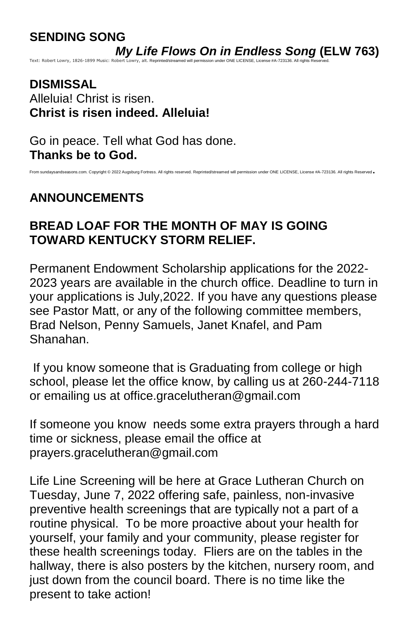# **SENDING SONG**

*My Life Flows On in Endless Song* **(ELW 763)**

ission under ONE LICENSE, License #A-723136. All rights

**DISMISSAL** Alleluia! Christ is risen. **Christ is risen indeed. Alleluia!**

Go in peace. Tell what God has done. **Thanks be to God.**

#### From sundaysandseasons.com. Copyright © 2022 Augsburg Fortress. All rights reserved. Reprinted/streamed will permission under ONE LICENSE, License #A-723136. All rights Reserved.

# **ANNOUNCEMENTS**

#### **BREAD LOAF FOR THE MONTH OF MAY IS GOING TOWARD KENTUCKY STORM RELIEF.**

Permanent Endowment Scholarship applications for the 2022- 2023 years are available in the church office. Deadline to turn in your applications is July,2022. If you have any questions please see Pastor Matt, or any of the following committee members, Brad Nelson, Penny Samuels, Janet Knafel, and Pam Shanahan.

If you know someone that is Graduating from college or high school, please let the office know, by calling us at 260-244-7118 or emailing us at [office.gracelutheran@gmail.com](mailto:office.gracelutheran@gmail.com)

If someone you know needs some extra prayers through a hard time or sickness, please email the office at prayers.gracelutheran@gmail.com

Life Line Screening will be here at Grace Lutheran Church on Tuesday, June 7, 2022 offering safe, painless, non-invasive preventive health screenings that are typically not a part of a routine physical. To be more proactive about your health for yourself, your family and your community, please register for these health screenings today. Fliers are on the tables in the hallway, there is also posters by the kitchen, nursery room, and just down from the council board. There is no time like the present to take action!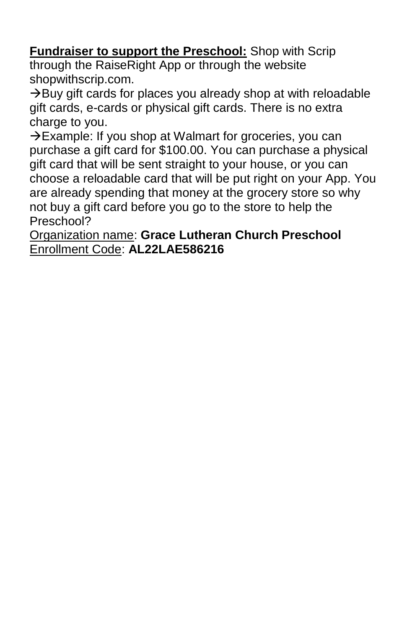**Fundraiser to support the Preschool:** Shop with Scrip through the RaiseRight App or through the website shopwithscrip.com.

 $\rightarrow$ Buy gift cards for places you already shop at with reloadable gift cards, e-cards or physical gift cards. There is no extra charge to you.

→Example: If you shop at Walmart for groceries, you can purchase a gift card for \$100.00. You can purchase a physical gift card that will be sent straight to your house, or you can choose a reloadable card that will be put right on your App. You are already spending that money at the grocery store so why not buy a gift card before you go to the store to help the Preschool?

Organization name: **Grace Lutheran Church Preschool** Enrollment Code: **AL22LAE586216**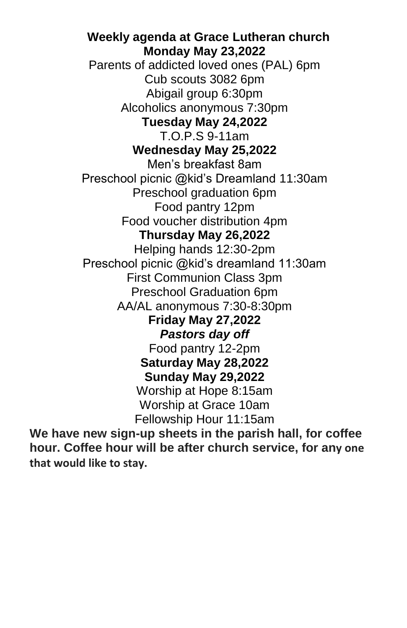**Weekly agenda at Grace Lutheran church Monday May 23,2022** Parents of addicted loved ones (PAL) 6pm Cub scouts 3082 6pm Abigail group 6:30pm Alcoholics anonymous 7:30pm **Tuesday May 24,2022** T.O.P.S 9-11am **Wednesday May 25,2022** Men's breakfast 8am Preschool picnic @kid's Dreamland 11:30am Preschool graduation 6pm Food pantry 12pm Food voucher distribution 4pm **Thursday May 26,2022** Helping hands 12:30-2pm Preschool picnic @kid's dreamland 11:30am First Communion Class 3pm Preschool Graduation 6pm AA/AL anonymous 7:30-8:30pm **Friday May 27,2022** *Pastors day off* Food pantry 12-2pm **Saturday May 28,2022 Sunday May 29,2022** Worship at Hope 8:15am Worship at Grace 10am Fellowship Hour 11:15am

**We have new sign-up sheets in the parish hall, for coffee hour. Coffee hour will be after church service, for any one that would like to stay.**